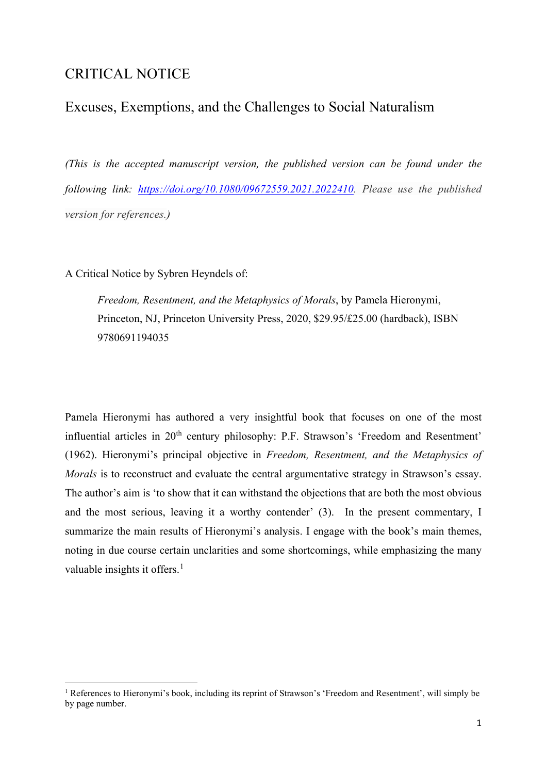# CRITICAL NOTICE

# Excuses, Exemptions, and the Challenges to Social Naturalism

*(This is the accepted manuscript version, the published version can be found under the following link: [https://doi.org/10.1080/09672559.2021.2022410.](https://doi.org/10.1080/09672559.2021.2022410) Please use the published version for references.)*

A Critical Notice by Sybren Heyndels of:

*Freedom, Resentment, and the Metaphysics of Morals*, by Pamela Hieronymi, Princeton, NJ, Princeton University Press, 2020, \$29.95/£25.00 (hardback), ISBN 9780691194035

Pamela Hieronymi has authored a very insightful book that focuses on one of the most influential articles in 20<sup>th</sup> century philosophy: P.F. Strawson's 'Freedom and Resentment' (1962). Hieronymi's principal objective in *Freedom, Resentment, and the Metaphysics of Morals* is to reconstruct and evaluate the central argumentative strategy in Strawson's essay. The author's aim is 'to show that it can withstand the objections that are both the most obvious and the most serious, leaving it a worthy contender' (3). In the present commentary, I summarize the main results of Hieronymi's analysis. I engage with the book's main themes, noting in due course certain unclarities and some shortcomings, while emphasizing the many valuable insights it offers. $<sup>1</sup>$  $<sup>1</sup>$  $<sup>1</sup>$ </sup>

<span id="page-0-0"></span><sup>&</sup>lt;sup>1</sup> References to Hieronymi's book, including its reprint of Strawson's 'Freedom and Resentment', will simply be by page number.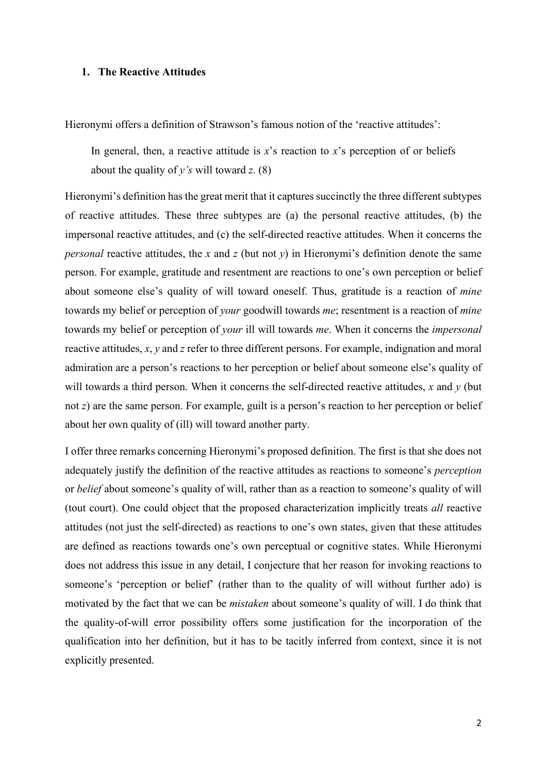## **1. The Reactive Attitudes**

Hieronymi offers a definition of Strawson's famous notion of the 'reactive attitudes':

In general, then, a reactive attitude is  $x$ 's reaction to  $x$ 's perception of or beliefs about the quality of *y's* will toward *z*. (8)

Hieronymi's definition has the great merit that it captures succinctly the three different subtypes of reactive attitudes. These three subtypes are (a) the personal reactive attitudes, (b) the impersonal reactive attitudes, and (c) the self-directed reactive attitudes. When it concerns the *personal* reactive attitudes, the *x* and *z* (but not *y*) in Hieronymi's definition denote the same person. For example, gratitude and resentment are reactions to one's own perception or belief about someone else's quality of will toward oneself. Thus, gratitude is a reaction of *mine*  towards my belief or perception of *your* goodwill towards *me*; resentment is a reaction of *mine* towards my belief or perception of *your* ill will towards *me*. When it concerns the *impersonal*  reactive attitudes, *x*, *y* and *z* refer to three different persons. For example, indignation and moral admiration are a person's reactions to her perception or belief about someone else's quality of will towards a third person. When it concerns the self-directed reactive attitudes, *x* and *y* (but not *z*) are the same person. For example, guilt is a person's reaction to her perception or belief about her own quality of (ill) will toward another party.

I offer three remarks concerning Hieronymi's proposed definition. The first is that she does not adequately justify the definition of the reactive attitudes as reactions to someone's *perception*  or *belief* about someone's quality of will, rather than as a reaction to someone's quality of will (tout court). One could object that the proposed characterization implicitly treats *all* reactive attitudes (not just the self-directed) as reactions to one's own states, given that these attitudes are defined as reactions towards one's own perceptual or cognitive states. While Hieronymi does not address this issue in any detail, I conjecture that her reason for invoking reactions to someone's 'perception or belief' (rather than to the quality of will without further ado) is motivated by the fact that we can be *mistaken* about someone's quality of will. I do think that the quality-of-will error possibility offers some justification for the incorporation of the qualification into her definition, but it has to be tacitly inferred from context, since it is not explicitly presented.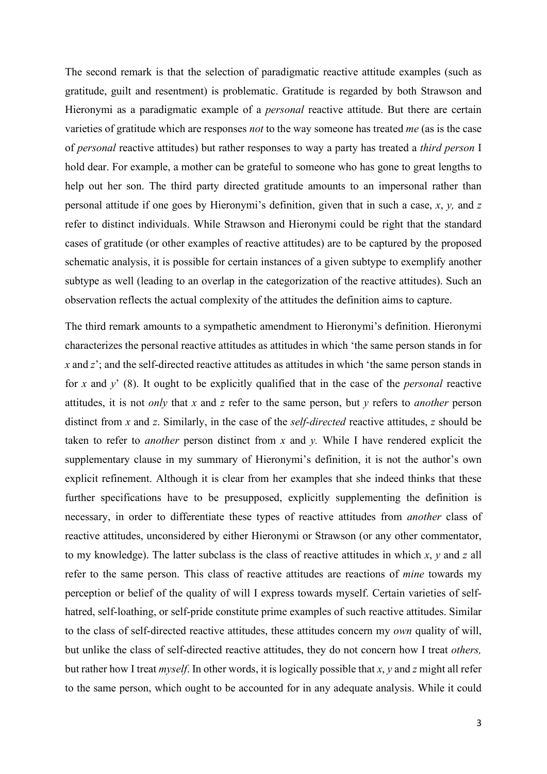The second remark is that the selection of paradigmatic reactive attitude examples (such as gratitude, guilt and resentment) is problematic. Gratitude is regarded by both Strawson and Hieronymi as a paradigmatic example of a *personal* reactive attitude. But there are certain varieties of gratitude which are responses *not* to the way someone has treated *me* (as is the case of *personal* reactive attitudes) but rather responses to way a party has treated a *third person* I hold dear. For example, a mother can be grateful to someone who has gone to great lengths to help out her son. The third party directed gratitude amounts to an impersonal rather than personal attitude if one goes by Hieronymi's definition, given that in such a case, *x*, *y,* and *z*  refer to distinct individuals. While Strawson and Hieronymi could be right that the standard cases of gratitude (or other examples of reactive attitudes) are to be captured by the proposed schematic analysis, it is possible for certain instances of a given subtype to exemplify another subtype as well (leading to an overlap in the categorization of the reactive attitudes). Such an observation reflects the actual complexity of the attitudes the definition aims to capture.

The third remark amounts to a sympathetic amendment to Hieronymi's definition. Hieronymi characterizes the personal reactive attitudes as attitudes in which 'the same person stands in for *x* and *z*'; and the self-directed reactive attitudes as attitudes in which 'the same person stands in for *x* and *y*' (8). It ought to be explicitly qualified that in the case of the *personal* reactive attitudes, it is not *only* that *x* and *z* refer to the same person, but *y* refers to *another* person distinct from *x* and *z*. Similarly, in the case of the *self-directed* reactive attitudes, *z* should be taken to refer to *another* person distinct from *x* and *y.* While I have rendered explicit the supplementary clause in my summary of Hieronymi's definition, it is not the author's own explicit refinement. Although it is clear from her examples that she indeed thinks that these further specifications have to be presupposed, explicitly supplementing the definition is necessary, in order to differentiate these types of reactive attitudes from *another* class of reactive attitudes, unconsidered by either Hieronymi or Strawson (or any other commentator, to my knowledge). The latter subclass is the class of reactive attitudes in which *x*, *y* and *z* all refer to the same person. This class of reactive attitudes are reactions of *mine* towards my perception or belief of the quality of will I express towards myself. Certain varieties of selfhatred, self-loathing, or self-pride constitute prime examples of such reactive attitudes. Similar to the class of self-directed reactive attitudes, these attitudes concern my *own* quality of will, but unlike the class of self-directed reactive attitudes, they do not concern how I treat *others,*  but rather how I treat *myself*. In other words, it is logically possible that *x*, *y* and *z* might all refer to the same person, which ought to be accounted for in any adequate analysis. While it could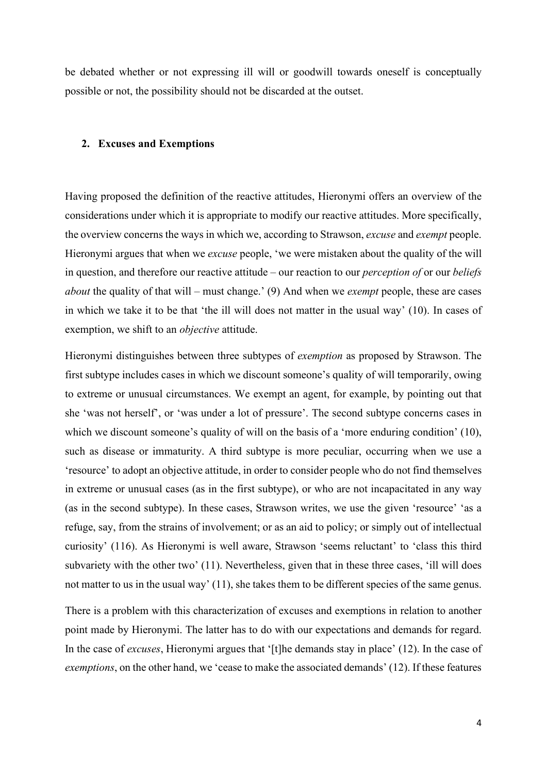be debated whether or not expressing ill will or goodwill towards oneself is conceptually possible or not, the possibility should not be discarded at the outset.

#### **2. Excuses and Exemptions**

Having proposed the definition of the reactive attitudes, Hieronymi offers an overview of the considerations under which it is appropriate to modify our reactive attitudes. More specifically, the overview concerns the ways in which we, according to Strawson, *excuse* and *exempt* people. Hieronymi argues that when we *excuse* people, 'we were mistaken about the quality of the will in question, and therefore our reactive attitude – our reaction to our *perception of* or our *beliefs about* the quality of that will – must change.' (9) And when we *exempt* people, these are cases in which we take it to be that 'the ill will does not matter in the usual way' (10). In cases of exemption, we shift to an *objective* attitude.

Hieronymi distinguishes between three subtypes of *exemption* as proposed by Strawson. The first subtype includes cases in which we discount someone's quality of will temporarily, owing to extreme or unusual circumstances. We exempt an agent, for example, by pointing out that she 'was not herself', or 'was under a lot of pressure'. The second subtype concerns cases in which we discount someone's quality of will on the basis of a 'more enduring condition' (10), such as disease or immaturity. A third subtype is more peculiar, occurring when we use a 'resource' to adopt an objective attitude, in order to consider people who do not find themselves in extreme or unusual cases (as in the first subtype), or who are not incapacitated in any way (as in the second subtype). In these cases, Strawson writes, we use the given 'resource' 'as a refuge, say, from the strains of involvement; or as an aid to policy; or simply out of intellectual curiosity' (116). As Hieronymi is well aware, Strawson 'seems reluctant' to 'class this third subvariety with the other two' (11). Nevertheless, given that in these three cases, 'ill will does not matter to us in the usual way' (11), she takes them to be different species of the same genus.

There is a problem with this characterization of excuses and exemptions in relation to another point made by Hieronymi. The latter has to do with our expectations and demands for regard. In the case of *excuses*, Hieronymi argues that '[t]he demands stay in place' (12). In the case of *exemptions*, on the other hand, we 'cease to make the associated demands' (12). If these features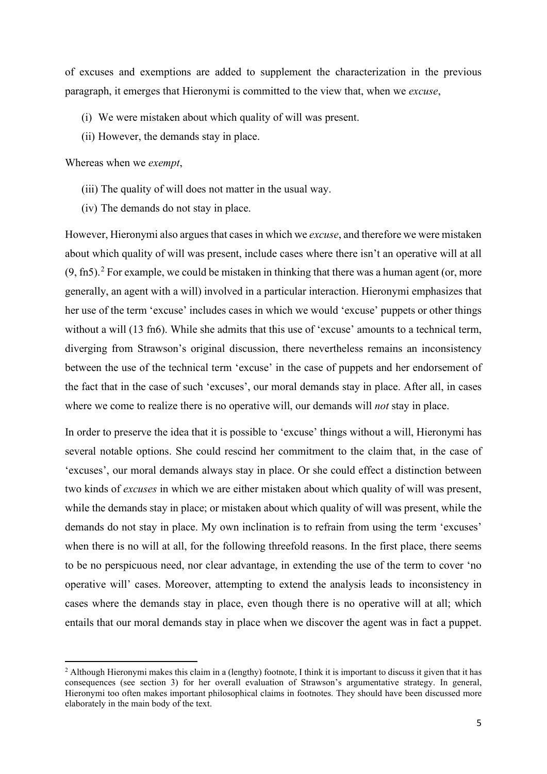of excuses and exemptions are added to supplement the characterization in the previous paragraph, it emerges that Hieronymi is committed to the view that, when we *excuse*,

- (i) We were mistaken about which quality of will was present.
- (ii) However, the demands stay in place.

Whereas when we *exempt*,

- (iii) The quality of will does not matter in the usual way.
- (iv) The demands do not stay in place.

However, Hieronymi also argues that cases in which we *excuse*, and therefore we were mistaken about which quality of will was present, include cases where there isn't an operative will at all  $(9, \text{fn5})$ .<sup>[2](#page-4-0)</sup> For example, we could be mistaken in thinking that there was a human agent (or, more generally, an agent with a will) involved in a particular interaction. Hieronymi emphasizes that her use of the term 'excuse' includes cases in which we would 'excuse' puppets or other things without a will (13 fn6). While she admits that this use of 'excuse' amounts to a technical term, diverging from Strawson's original discussion, there nevertheless remains an inconsistency between the use of the technical term 'excuse' in the case of puppets and her endorsement of the fact that in the case of such 'excuses', our moral demands stay in place. After all, in cases where we come to realize there is no operative will, our demands will *not* stay in place.

In order to preserve the idea that it is possible to 'excuse' things without a will, Hieronymi has several notable options. She could rescind her commitment to the claim that, in the case of 'excuses', our moral demands always stay in place. Or she could effect a distinction between two kinds of *excuses* in which we are either mistaken about which quality of will was present, while the demands stay in place; or mistaken about which quality of will was present, while the demands do not stay in place. My own inclination is to refrain from using the term 'excuses' when there is no will at all, for the following threefold reasons. In the first place, there seems to be no perspicuous need, nor clear advantage, in extending the use of the term to cover 'no operative will' cases. Moreover, attempting to extend the analysis leads to inconsistency in cases where the demands stay in place, even though there is no operative will at all; which entails that our moral demands stay in place when we discover the agent was in fact a puppet.

<span id="page-4-0"></span><sup>&</sup>lt;sup>2</sup> Although Hieronymi makes this claim in a (lengthy) footnote, I think it is important to discuss it given that it has consequences (see section 3) for her overall evaluation of Strawson's argumentative strategy. In general, Hieronymi too often makes important philosophical claims in footnotes. They should have been discussed more elaborately in the main body of the text.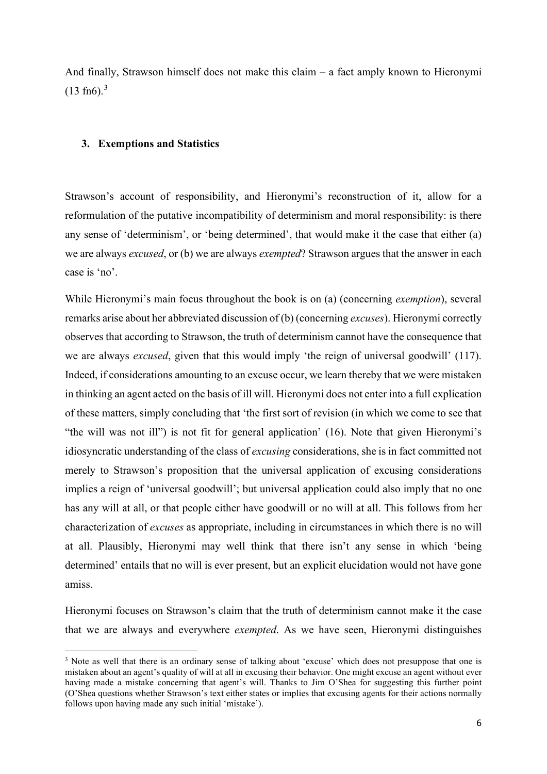And finally, Strawson himself does not make this claim – a fact amply known to Hieronymi  $(13 \text{ fn}6).$  $(13 \text{ fn}6).$  $(13 \text{ fn}6).$ <sup>3</sup>

### **3. Exemptions and Statistics**

Strawson's account of responsibility, and Hieronymi's reconstruction of it, allow for a reformulation of the putative incompatibility of determinism and moral responsibility: is there any sense of 'determinism', or 'being determined', that would make it the case that either (a) we are always *excused*, or (b) we are always *exempted*? Strawson argues that the answer in each case is 'no'.

While Hieronymi's main focus throughout the book is on (a) (concerning *exemption*), several remarks arise about her abbreviated discussion of (b) (concerning *excuses*). Hieronymi correctly observes that according to Strawson, the truth of determinism cannot have the consequence that we are always *excused*, given that this would imply 'the reign of universal goodwill' (117). Indeed, if considerations amounting to an excuse occur, we learn thereby that we were mistaken in thinking an agent acted on the basis of ill will. Hieronymi does not enter into a full explication of these matters, simply concluding that 'the first sort of revision (in which we come to see that "the will was not ill") is not fit for general application' (16). Note that given Hieronymi's idiosyncratic understanding of the class of *excusing* considerations, she is in fact committed not merely to Strawson's proposition that the universal application of excusing considerations implies a reign of 'universal goodwill'; but universal application could also imply that no one has any will at all, or that people either have goodwill or no will at all. This follows from her characterization of *excuses* as appropriate, including in circumstances in which there is no will at all. Plausibly, Hieronymi may well think that there isn't any sense in which 'being determined' entails that no will is ever present, but an explicit elucidation would not have gone amiss.

Hieronymi focuses on Strawson's claim that the truth of determinism cannot make it the case that we are always and everywhere *exempted*. As we have seen, Hieronymi distinguishes

<span id="page-5-0"></span><sup>&</sup>lt;sup>3</sup> Note as well that there is an ordinary sense of talking about 'excuse' which does not presuppose that one is mistaken about an agent's quality of will at all in excusing their behavior. One might excuse an agent without ever having made a mistake concerning that agent's will. Thanks to Jim O'Shea for suggesting this further point (O'Shea questions whether Strawson's text either states or implies that excusing agents for their actions normally follows upon having made any such initial 'mistake').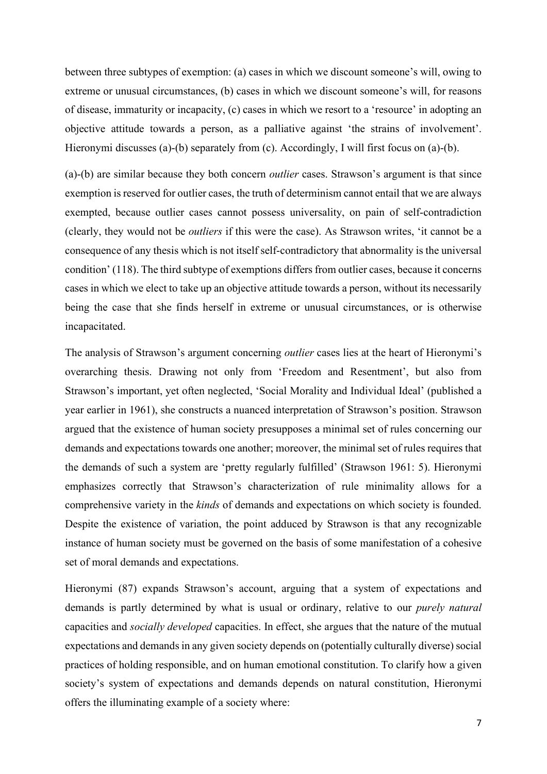between three subtypes of exemption: (a) cases in which we discount someone's will, owing to extreme or unusual circumstances, (b) cases in which we discount someone's will, for reasons of disease, immaturity or incapacity, (c) cases in which we resort to a 'resource' in adopting an objective attitude towards a person, as a palliative against 'the strains of involvement'. Hieronymi discusses (a)-(b) separately from (c). Accordingly, I will first focus on (a)-(b).

(a)-(b) are similar because they both concern *outlier* cases. Strawson's argument is that since exemption is reserved for outlier cases, the truth of determinism cannot entail that we are always exempted, because outlier cases cannot possess universality, on pain of self-contradiction (clearly, they would not be *outliers* if this were the case). As Strawson writes, 'it cannot be a consequence of any thesis which is not itself self-contradictory that abnormality is the universal condition' (118). The third subtype of exemptions differs from outlier cases, because it concerns cases in which we elect to take up an objective attitude towards a person, without its necessarily being the case that she finds herself in extreme or unusual circumstances, or is otherwise incapacitated.

The analysis of Strawson's argument concerning *outlier* cases lies at the heart of Hieronymi's overarching thesis. Drawing not only from 'Freedom and Resentment', but also from Strawson's important, yet often neglected, 'Social Morality and Individual Ideal' (published a year earlier in 1961), she constructs a nuanced interpretation of Strawson's position. Strawson argued that the existence of human society presupposes a minimal set of rules concerning our demands and expectations towards one another; moreover, the minimal set of rules requires that the demands of such a system are 'pretty regularly fulfilled' (Strawson 1961: 5). Hieronymi emphasizes correctly that Strawson's characterization of rule minimality allows for a comprehensive variety in the *kinds* of demands and expectations on which society is founded. Despite the existence of variation, the point adduced by Strawson is that any recognizable instance of human society must be governed on the basis of some manifestation of a cohesive set of moral demands and expectations.

Hieronymi (87) expands Strawson's account, arguing that a system of expectations and demands is partly determined by what is usual or ordinary, relative to our *purely natural*  capacities and *socially developed* capacities. In effect, she argues that the nature of the mutual expectations and demands in any given society depends on (potentially culturally diverse) social practices of holding responsible, and on human emotional constitution. To clarify how a given society's system of expectations and demands depends on natural constitution, Hieronymi offers the illuminating example of a society where: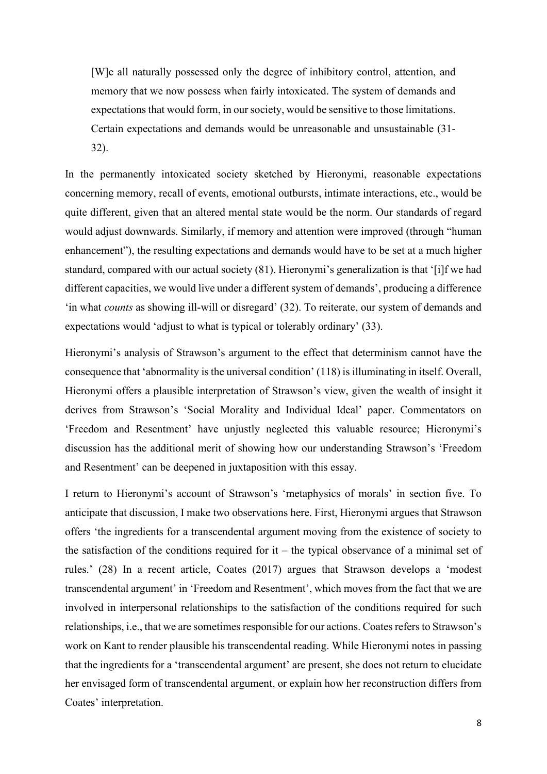[W]e all naturally possessed only the degree of inhibitory control, attention, and memory that we now possess when fairly intoxicated. The system of demands and expectations that would form, in our society, would be sensitive to those limitations. Certain expectations and demands would be unreasonable and unsustainable (31- 32).

In the permanently intoxicated society sketched by Hieronymi, reasonable expectations concerning memory, recall of events, emotional outbursts, intimate interactions, etc., would be quite different, given that an altered mental state would be the norm. Our standards of regard would adjust downwards. Similarly, if memory and attention were improved (through "human enhancement"), the resulting expectations and demands would have to be set at a much higher standard, compared with our actual society (81). Hieronymi's generalization is that '[i]f we had different capacities, we would live under a different system of demands', producing a difference 'in what *counts* as showing ill-will or disregard' (32). To reiterate, our system of demands and expectations would 'adjust to what is typical or tolerably ordinary' (33).

Hieronymi's analysis of Strawson's argument to the effect that determinism cannot have the consequence that 'abnormality is the universal condition' (118) is illuminating in itself. Overall, Hieronymi offers a plausible interpretation of Strawson's view, given the wealth of insight it derives from Strawson's 'Social Morality and Individual Ideal' paper. Commentators on 'Freedom and Resentment' have unjustly neglected this valuable resource; Hieronymi's discussion has the additional merit of showing how our understanding Strawson's 'Freedom and Resentment' can be deepened in juxtaposition with this essay.

I return to Hieronymi's account of Strawson's 'metaphysics of morals' in section five. To anticipate that discussion, I make two observations here. First, Hieronymi argues that Strawson offers 'the ingredients for a transcendental argument moving from the existence of society to the satisfaction of the conditions required for it – the typical observance of a minimal set of rules.' (28) In a recent article, Coates (2017) argues that Strawson develops a 'modest transcendental argument' in 'Freedom and Resentment', which moves from the fact that we are involved in interpersonal relationships to the satisfaction of the conditions required for such relationships, i.e., that we are sometimes responsible for our actions. Coates refers to Strawson's work on Kant to render plausible his transcendental reading. While Hieronymi notes in passing that the ingredients for a 'transcendental argument' are present, she does not return to elucidate her envisaged form of transcendental argument, or explain how her reconstruction differs from Coates' interpretation.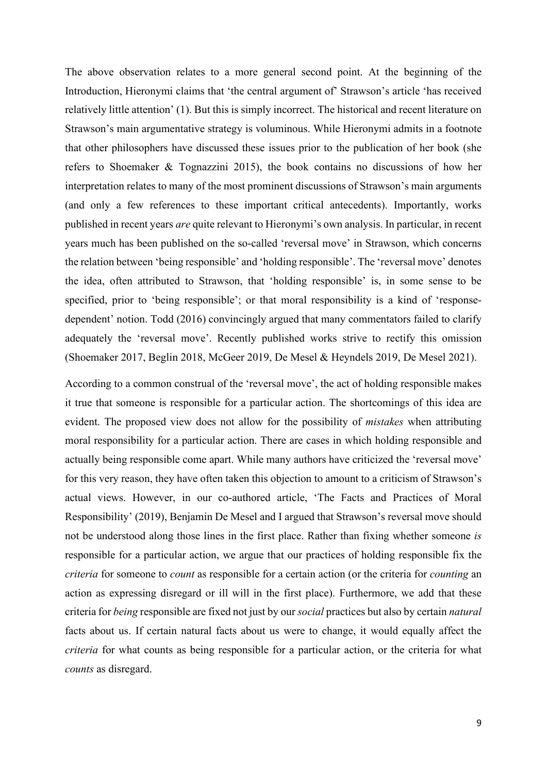The above observation relates to a more general second point. At the beginning of the Introduction, Hieronymi claims that 'the central argument of' Strawson's article 'has received relatively little attention' (1). But this is simply incorrect. The historical and recent literature on Strawson's main argumentative strategy is voluminous. While Hieronymi admits in a footnote that other philosophers have discussed these issues prior to the publication of her book (she refers to Shoemaker & Tognazzini 2015), the book contains no discussions of how her interpretation relates to many of the most prominent discussions of Strawson's main arguments (and only a few references to these important critical antecedents). Importantly, works published in recent years *are* quite relevant to Hieronymi's own analysis. In particular, in recent years much has been published on the so-called 'reversal move' in Strawson, which concerns the relation between 'being responsible' and 'holding responsible'. The 'reversal move' denotes the idea, often attributed to Strawson, that 'holding responsible' is, in some sense to be specified, prior to 'being responsible'; or that moral responsibility is a kind of 'responsedependent' notion. Todd (2016) convincingly argued that many commentators failed to clarify adequately the 'reversal move'. Recently published works strive to rectify this omission (Shoemaker 2017, Beglin 2018, McGeer 2019, De Mesel & Heyndels 2019, De Mesel 2021).

According to a common construal of the 'reversal move', the act of holding responsible makes it true that someone is responsible for a particular action. The shortcomings of this idea are evident. The proposed view does not allow for the possibility of *mistakes* when attributing moral responsibility for a particular action. There are cases in which holding responsible and actually being responsible come apart. While many authors have criticized the 'reversal move' for this very reason, they have often taken this objection to amount to a criticism of Strawson's actual views. However, in our co-authored article, 'The Facts and Practices of Moral Responsibility' (2019), Benjamin De Mesel and I argued that Strawson's reversal move should not be understood along those lines in the first place. Rather than fixing whether someone *is*  responsible for a particular action, we argue that our practices of holding responsible fix the *criteria* for someone to *count* as responsible for a certain action (or the criteria for *counting* an action as expressing disregard or ill will in the first place). Furthermore, we add that these criteria for *being* responsible are fixed not just by our *social* practices but also by certain *natural*  facts about us. If certain natural facts about us were to change, it would equally affect the *criteria* for what counts as being responsible for a particular action, or the criteria for what *counts* as disregard.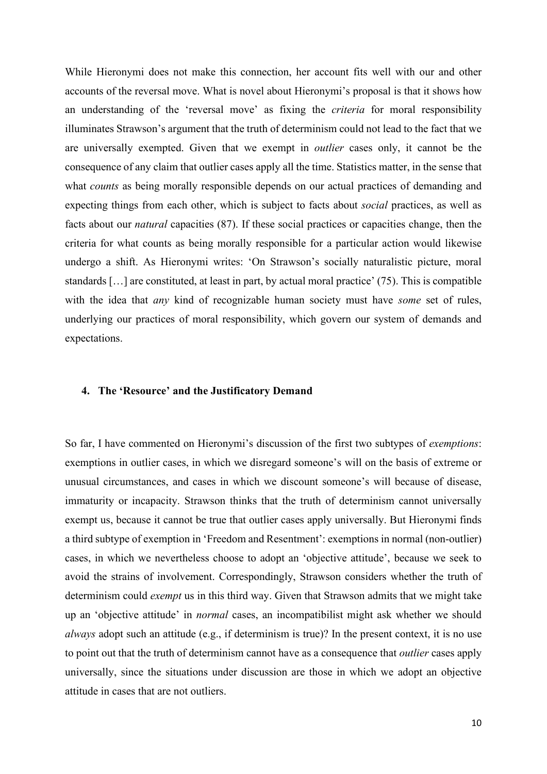While Hieronymi does not make this connection, her account fits well with our and other accounts of the reversal move. What is novel about Hieronymi's proposal is that it shows how an understanding of the 'reversal move' as fixing the *criteria* for moral responsibility illuminates Strawson's argument that the truth of determinism could not lead to the fact that we are universally exempted. Given that we exempt in *outlier* cases only, it cannot be the consequence of any claim that outlier cases apply all the time. Statistics matter, in the sense that what *counts* as being morally responsible depends on our actual practices of demanding and expecting things from each other, which is subject to facts about *social* practices, as well as facts about our *natural* capacities (87). If these social practices or capacities change, then the criteria for what counts as being morally responsible for a particular action would likewise undergo a shift. As Hieronymi writes: 'On Strawson's socially naturalistic picture, moral standards […] are constituted, at least in part, by actual moral practice' (75). This is compatible with the idea that *any* kind of recognizable human society must have *some* set of rules, underlying our practices of moral responsibility, which govern our system of demands and expectations.

## **4. The 'Resource' and the Justificatory Demand**

So far, I have commented on Hieronymi's discussion of the first two subtypes of *exemptions*: exemptions in outlier cases, in which we disregard someone's will on the basis of extreme or unusual circumstances, and cases in which we discount someone's will because of disease, immaturity or incapacity. Strawson thinks that the truth of determinism cannot universally exempt us, because it cannot be true that outlier cases apply universally. But Hieronymi finds a third subtype of exemption in 'Freedom and Resentment': exemptions in normal (non-outlier) cases, in which we nevertheless choose to adopt an 'objective attitude', because we seek to avoid the strains of involvement. Correspondingly, Strawson considers whether the truth of determinism could *exempt* us in this third way. Given that Strawson admits that we might take up an 'objective attitude' in *normal* cases, an incompatibilist might ask whether we should *always* adopt such an attitude (e.g., if determinism is true)? In the present context, it is no use to point out that the truth of determinism cannot have as a consequence that *outlier* cases apply universally, since the situations under discussion are those in which we adopt an objective attitude in cases that are not outliers.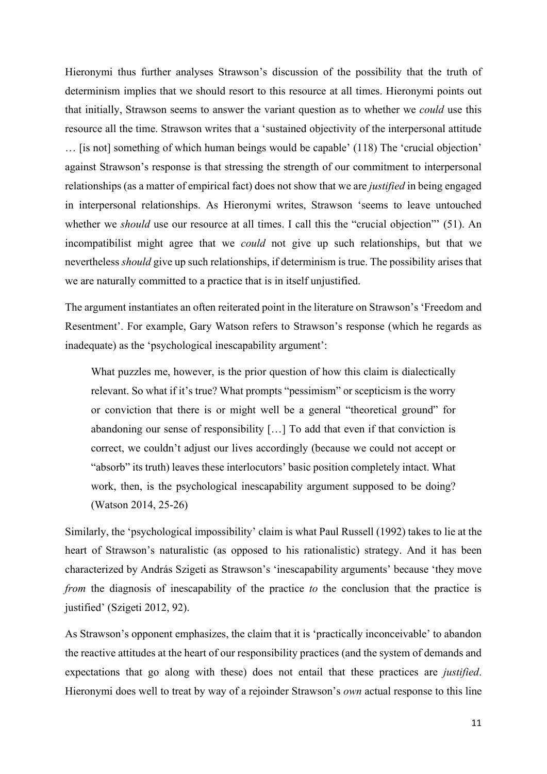Hieronymi thus further analyses Strawson's discussion of the possibility that the truth of determinism implies that we should resort to this resource at all times. Hieronymi points out that initially, Strawson seems to answer the variant question as to whether we *could* use this resource all the time. Strawson writes that a 'sustained objectivity of the interpersonal attitude … [is not] something of which human beings would be capable' (118) The 'crucial objection' against Strawson's response is that stressing the strength of our commitment to interpersonal relationships (as a matter of empirical fact) does not show that we are *justified* in being engaged in interpersonal relationships. As Hieronymi writes, Strawson 'seems to leave untouched whether we *should* use our resource at all times. I call this the "crucial objection" (51). An incompatibilist might agree that we *could* not give up such relationships, but that we nevertheless *should* give up such relationships, if determinism is true. The possibility arises that we are naturally committed to a practice that is in itself unjustified.

The argument instantiates an often reiterated point in the literature on Strawson's 'Freedom and Resentment'. For example, Gary Watson refers to Strawson's response (which he regards as inadequate) as the 'psychological inescapability argument':

What puzzles me, however, is the prior question of how this claim is dialectically relevant. So what if it's true? What prompts "pessimism" or scepticism is the worry or conviction that there is or might well be a general "theoretical ground" for abandoning our sense of responsibility […] To add that even if that conviction is correct, we couldn't adjust our lives accordingly (because we could not accept or "absorb" its truth) leaves these interlocutors' basic position completely intact. What work, then, is the psychological inescapability argument supposed to be doing? (Watson 2014, 25-26)

Similarly, the 'psychological impossibility' claim is what Paul Russell (1992) takes to lie at the heart of Strawson's naturalistic (as opposed to his rationalistic) strategy. And it has been characterized by András Szigeti as Strawson's 'inescapability arguments' because 'they move *from* the diagnosis of inescapability of the practice *to* the conclusion that the practice is justified' (Szigeti 2012, 92).

As Strawson's opponent emphasizes, the claim that it is 'practically inconceivable' to abandon the reactive attitudes at the heart of our responsibility practices (and the system of demands and expectations that go along with these) does not entail that these practices are *justified*. Hieronymi does well to treat by way of a rejoinder Strawson's *own* actual response to this line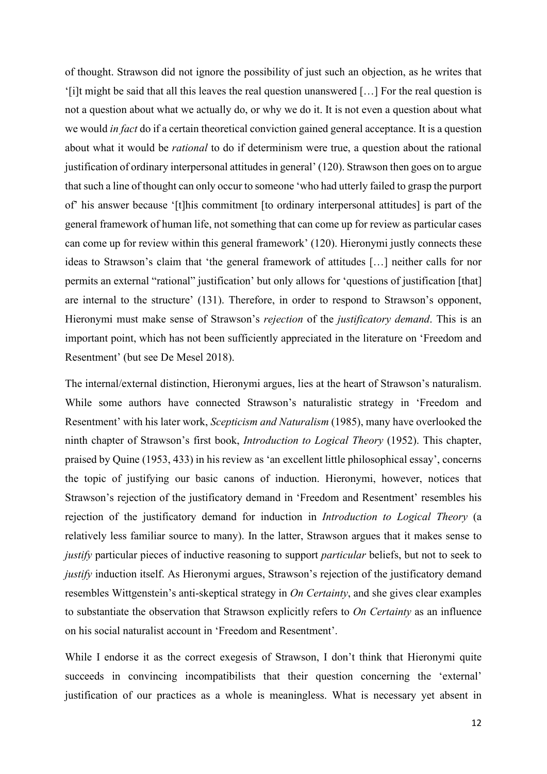of thought. Strawson did not ignore the possibility of just such an objection, as he writes that '[i]t might be said that all this leaves the real question unanswered […] For the real question is not a question about what we actually do, or why we do it. It is not even a question about what we would *in fact* do if a certain theoretical conviction gained general acceptance. It is a question about what it would be *rational* to do if determinism were true, a question about the rational justification of ordinary interpersonal attitudes in general' (120). Strawson then goes on to argue that such a line of thought can only occur to someone 'who had utterly failed to grasp the purport of' his answer because '[t]his commitment [to ordinary interpersonal attitudes] is part of the general framework of human life, not something that can come up for review as particular cases can come up for review within this general framework' (120). Hieronymi justly connects these ideas to Strawson's claim that 'the general framework of attitudes […] neither calls for nor permits an external "rational" justification' but only allows for 'questions of justification [that] are internal to the structure' (131). Therefore, in order to respond to Strawson's opponent, Hieronymi must make sense of Strawson's *rejection* of the *justificatory demand*. This is an important point, which has not been sufficiently appreciated in the literature on 'Freedom and Resentment' (but see De Mesel 2018).

The internal/external distinction, Hieronymi argues, lies at the heart of Strawson's naturalism. While some authors have connected Strawson's naturalistic strategy in 'Freedom and Resentment' with his later work, *Scepticism and Naturalism* (1985), many have overlooked the ninth chapter of Strawson's first book, *Introduction to Logical Theory* (1952). This chapter, praised by Quine (1953, 433) in his review as 'an excellent little philosophical essay', concerns the topic of justifying our basic canons of induction. Hieronymi, however, notices that Strawson's rejection of the justificatory demand in 'Freedom and Resentment' resembles his rejection of the justificatory demand for induction in *Introduction to Logical Theory* (a relatively less familiar source to many). In the latter, Strawson argues that it makes sense to *justify* particular pieces of inductive reasoning to support *particular* beliefs, but not to seek to *justify* induction itself. As Hieronymi argues, Strawson's rejection of the justificatory demand resembles Wittgenstein's anti-skeptical strategy in *On Certainty*, and she gives clear examples to substantiate the observation that Strawson explicitly refers to *On Certainty* as an influence on his social naturalist account in 'Freedom and Resentment'.

While I endorse it as the correct exegesis of Strawson, I don't think that Hieronymi quite succeeds in convincing incompatibilists that their question concerning the 'external' justification of our practices as a whole is meaningless. What is necessary yet absent in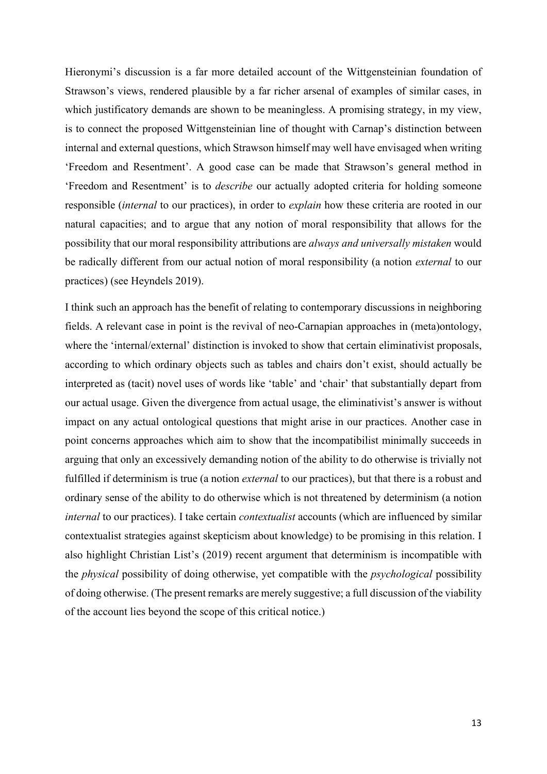Hieronymi's discussion is a far more detailed account of the Wittgensteinian foundation of Strawson's views, rendered plausible by a far richer arsenal of examples of similar cases, in which justificatory demands are shown to be meaningless. A promising strategy, in my view, is to connect the proposed Wittgensteinian line of thought with Carnap's distinction between internal and external questions, which Strawson himself may well have envisaged when writing 'Freedom and Resentment'. A good case can be made that Strawson's general method in 'Freedom and Resentment' is to *describe* our actually adopted criteria for holding someone responsible (*internal* to our practices), in order to *explain* how these criteria are rooted in our natural capacities; and to argue that any notion of moral responsibility that allows for the possibility that our moral responsibility attributions are *always and universally mistaken* would be radically different from our actual notion of moral responsibility (a notion *external* to our practices) (see Heyndels 2019).

I think such an approach has the benefit of relating to contemporary discussions in neighboring fields. A relevant case in point is the revival of neo-Carnapian approaches in (meta)ontology, where the 'internal/external' distinction is invoked to show that certain eliminativist proposals, according to which ordinary objects such as tables and chairs don't exist, should actually be interpreted as (tacit) novel uses of words like 'table' and 'chair' that substantially depart from our actual usage. Given the divergence from actual usage, the eliminativist's answer is without impact on any actual ontological questions that might arise in our practices. Another case in point concerns approaches which aim to show that the incompatibilist minimally succeeds in arguing that only an excessively demanding notion of the ability to do otherwise is trivially not fulfilled if determinism is true (a notion *external* to our practices), but that there is a robust and ordinary sense of the ability to do otherwise which is not threatened by determinism (a notion *internal* to our practices). I take certain *contextualist* accounts (which are influenced by similar contextualist strategies against skepticism about knowledge) to be promising in this relation. I also highlight Christian List's (2019) recent argument that determinism is incompatible with the *physical* possibility of doing otherwise, yet compatible with the *psychological* possibility of doing otherwise. (The present remarks are merely suggestive; a full discussion of the viability of the account lies beyond the scope of this critical notice.)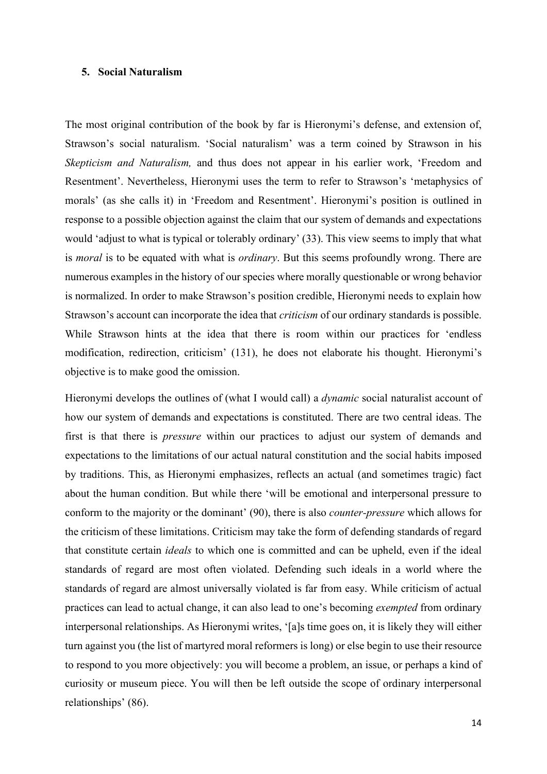## **5. Social Naturalism**

The most original contribution of the book by far is Hieronymi's defense, and extension of, Strawson's social naturalism. 'Social naturalism' was a term coined by Strawson in his *Skepticism and Naturalism,* and thus does not appear in his earlier work, 'Freedom and Resentment'. Nevertheless, Hieronymi uses the term to refer to Strawson's 'metaphysics of morals' (as she calls it) in 'Freedom and Resentment'. Hieronymi's position is outlined in response to a possible objection against the claim that our system of demands and expectations would 'adjust to what is typical or tolerably ordinary' (33). This view seems to imply that what is *moral* is to be equated with what is *ordinary*. But this seems profoundly wrong. There are numerous examples in the history of our species where morally questionable or wrong behavior is normalized. In order to make Strawson's position credible, Hieronymi needs to explain how Strawson's account can incorporate the idea that *criticism* of our ordinary standards is possible. While Strawson hints at the idea that there is room within our practices for 'endless modification, redirection, criticism' (131), he does not elaborate his thought. Hieronymi's objective is to make good the omission.

Hieronymi develops the outlines of (what I would call) a *dynamic* social naturalist account of how our system of demands and expectations is constituted. There are two central ideas. The first is that there is *pressure* within our practices to adjust our system of demands and expectations to the limitations of our actual natural constitution and the social habits imposed by traditions. This, as Hieronymi emphasizes, reflects an actual (and sometimes tragic) fact about the human condition. But while there 'will be emotional and interpersonal pressure to conform to the majority or the dominant' (90), there is also *counter-pressure* which allows for the criticism of these limitations. Criticism may take the form of defending standards of regard that constitute certain *ideals* to which one is committed and can be upheld, even if the ideal standards of regard are most often violated. Defending such ideals in a world where the standards of regard are almost universally violated is far from easy. While criticism of actual practices can lead to actual change, it can also lead to one's becoming *exempted* from ordinary interpersonal relationships. As Hieronymi writes, '[a]s time goes on, it is likely they will either turn against you (the list of martyred moral reformers is long) or else begin to use their resource to respond to you more objectively: you will become a problem, an issue, or perhaps a kind of curiosity or museum piece. You will then be left outside the scope of ordinary interpersonal relationships' (86).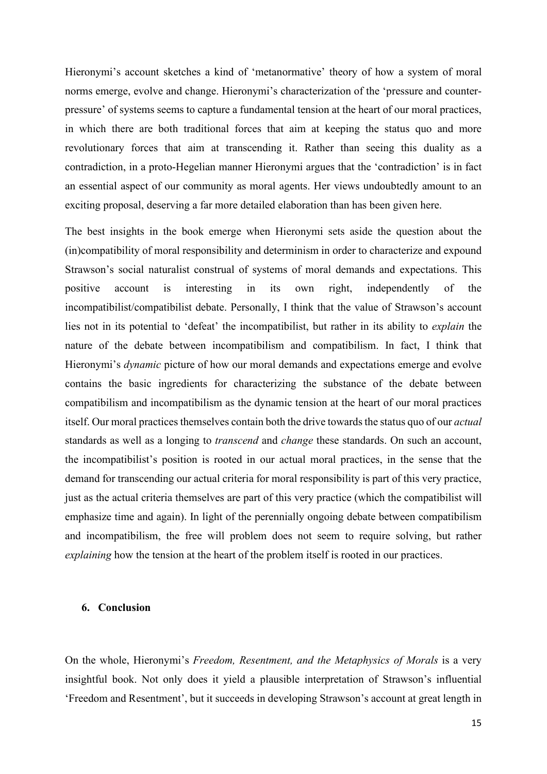Hieronymi's account sketches a kind of 'metanormative' theory of how a system of moral norms emerge, evolve and change. Hieronymi's characterization of the 'pressure and counterpressure' of systems seems to capture a fundamental tension at the heart of our moral practices, in which there are both traditional forces that aim at keeping the status quo and more revolutionary forces that aim at transcending it. Rather than seeing this duality as a contradiction, in a proto-Hegelian manner Hieronymi argues that the 'contradiction' is in fact an essential aspect of our community as moral agents. Her views undoubtedly amount to an exciting proposal, deserving a far more detailed elaboration than has been given here.

The best insights in the book emerge when Hieronymi sets aside the question about the (in)compatibility of moral responsibility and determinism in order to characterize and expound Strawson's social naturalist construal of systems of moral demands and expectations. This positive account is interesting in its own right, independently of the incompatibilist/compatibilist debate. Personally, I think that the value of Strawson's account lies not in its potential to 'defeat' the incompatibilist, but rather in its ability to *explain* the nature of the debate between incompatibilism and compatibilism. In fact, I think that Hieronymi's *dynamic* picture of how our moral demands and expectations emerge and evolve contains the basic ingredients for characterizing the substance of the debate between compatibilism and incompatibilism as the dynamic tension at the heart of our moral practices itself. Our moral practices themselves contain both the drive towards the status quo of our *actual*  standards as well as a longing to *transcend* and *change* these standards. On such an account, the incompatibilist's position is rooted in our actual moral practices, in the sense that the demand for transcending our actual criteria for moral responsibility is part of this very practice, just as the actual criteria themselves are part of this very practice (which the compatibilist will emphasize time and again). In light of the perennially ongoing debate between compatibilism and incompatibilism, the free will problem does not seem to require solving, but rather *explaining* how the tension at the heart of the problem itself is rooted in our practices.

## **6. Conclusion**

On the whole, Hieronymi's *Freedom, Resentment, and the Metaphysics of Morals* is a very insightful book. Not only does it yield a plausible interpretation of Strawson's influential 'Freedom and Resentment', but it succeeds in developing Strawson's account at great length in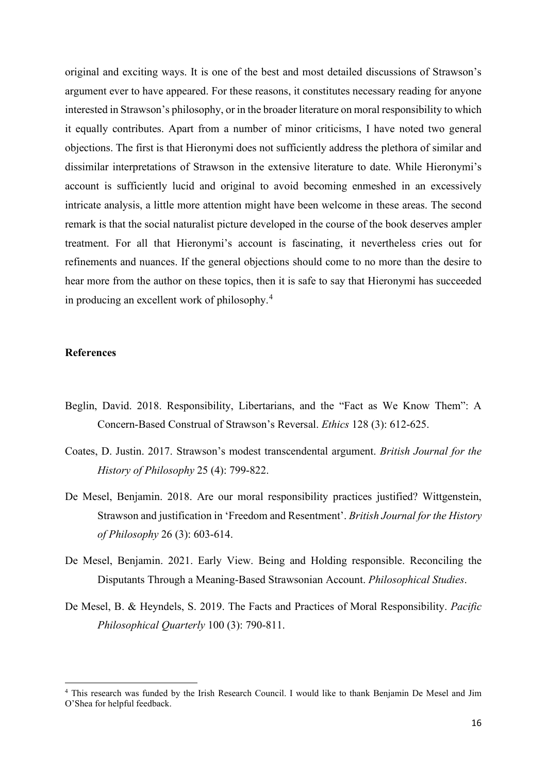original and exciting ways. It is one of the best and most detailed discussions of Strawson's argument ever to have appeared. For these reasons, it constitutes necessary reading for anyone interested in Strawson's philosophy, or in the broader literature on moral responsibility to which it equally contributes. Apart from a number of minor criticisms, I have noted two general objections. The first is that Hieronymi does not sufficiently address the plethora of similar and dissimilar interpretations of Strawson in the extensive literature to date. While Hieronymi's account is sufficiently lucid and original to avoid becoming enmeshed in an excessively intricate analysis, a little more attention might have been welcome in these areas. The second remark is that the social naturalist picture developed in the course of the book deserves ampler treatment. For all that Hieronymi's account is fascinating, it nevertheless cries out for refinements and nuances. If the general objections should come to no more than the desire to hear more from the author on these topics, then it is safe to say that Hieronymi has succeeded in producing an excellent work of philosophy.[4](#page-15-0)

## **References**

- Beglin, David. 2018. Responsibility, Libertarians, and the "Fact as We Know Them": A Concern-Based Construal of Strawson's Reversal. *Ethics* 128 (3): 612-625.
- Coates, D. Justin. 2017. Strawson's modest transcendental argument. *British Journal for the History of Philosophy* 25 (4): 799-822.
- De Mesel, Benjamin. 2018. Are our moral responsibility practices justified? Wittgenstein, Strawson and justification in 'Freedom and Resentment'. *British Journal for the History of Philosophy* 26 (3): 603-614.
- De Mesel, Benjamin. 2021. Early View. Being and Holding responsible. Reconciling the Disputants Through a Meaning-Based Strawsonian Account. *Philosophical Studies*.
- De Mesel, B. & Heyndels, S. 2019. The Facts and Practices of Moral Responsibility. *Pacific Philosophical Quarterly* 100 (3): 790-811.

<span id="page-15-0"></span><sup>4</sup> This research was funded by the Irish Research Council. I would like to thank Benjamin De Mesel and Jim O'Shea for helpful feedback.